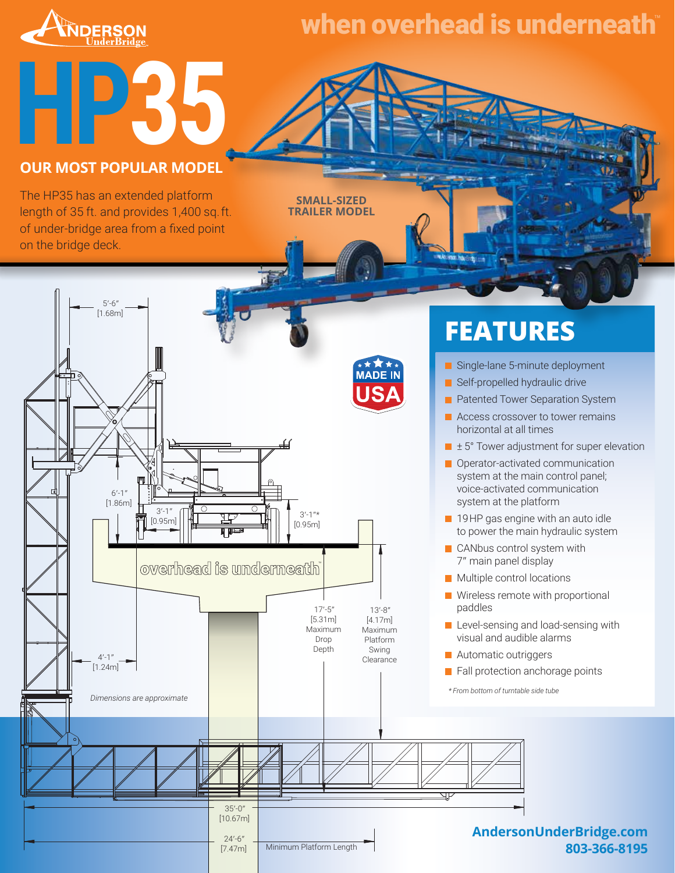

## when overhead is underneath™

# **HP35 OUR MOST POPULAR MODEL**

The HP35 has an extended platform length of 35 ft. and provides 1,400 sq. ft. of under-bridge area from a fixed point on the bridge deck.

 $5' - 6'$ [1.68m]  $6' - 1'$ [1.86m]  $3' 3'-1$ "\* [0.95m] [0.95m] overhead is underneath  $\Box$  $17 - 5$ 13ʹ-8ʺ [5.31m] [4.17m] Maximum Maximum Drop Platform Depth Swing  $4' - 1'$ Clearance [1.24m] *Dimensions are approximate* ਹਾ 35ʹ-0ʺ [10.67m]

> $24 - 6$ [7.47m]

Minimum Platform Length

**SMALL-SIZED TRAILER MODEL**

## **FEATURES**

- Single-lane 5-minute deployment
- Self-propelled hydraulic drive
- **Patented Tower Separation System**
- **Access crossover to tower remains** horizontal at all times
- ± 5° Tower adjustment for super elevation
- **Operator-activated communication** system at the main control panel; voice‑activated communication system at the platform
- **19HP** gas engine with an auto idle to power the main hydraulic system
- CANbus control system with 7ʺ main panel display
- **Multiple control locations**
- Wireless remote with proportional paddles
- Level-sensing and load-sensing with visual and audible alarms
- **Automatic outriggers**
- Fall protection anchorage points

 *\* From bottom of turntable side tube*

### **AndersonUnderBridge.com 803-366-8195**